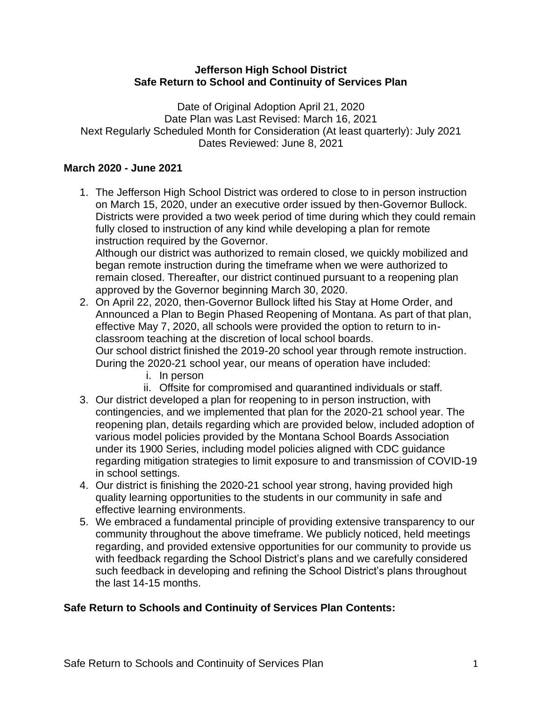#### **Jefferson High School District Safe Return to School and Continuity of Services Plan**

Date of Original Adoption April 21, 2020 Date Plan was Last Revised: March 16, 2021 Next Regularly Scheduled Month for Consideration (At least quarterly): July 2021 Dates Reviewed: June 8, 2021

### **March 2020 - June 2021**

1. The Jefferson High School District was ordered to close to in person instruction on March 15, 2020, under an executive order issued by then-Governor Bullock. Districts were provided a two week period of time during which they could remain fully closed to instruction of any kind while developing a plan for remote instruction required by the Governor.

Although our district was authorized to remain closed, we quickly mobilized and began remote instruction during the timeframe when we were authorized to remain closed. Thereafter, our district continued pursuant to a reopening plan approved by the Governor beginning March 30, 2020.

- 2. On April 22, 2020, then-Governor Bullock lifted his Stay at Home Order, and Announced a Plan to Begin Phased Reopening of Montana. As part of that plan, effective May 7, 2020, all schools were provided the option to return to inclassroom teaching at the discretion of local school boards. Our school district finished the 2019-20 school year through remote instruction. During the 2020-21 school year, our means of operation have included:
	- i. In person
	- ii. Offsite for compromised and quarantined individuals or staff.
- 3. Our district developed a plan for reopening to in person instruction, with contingencies, and we implemented that plan for the 2020-21 school year. The reopening plan, details regarding which are provided below, included adoption of various model policies provided by the Montana School Boards Association under its 1900 Series, including model policies aligned with CDC guidance regarding mitigation strategies to limit exposure to and transmission of COVID-19 in school settings.
- 4. Our district is finishing the 2020-21 school year strong, having provided high quality learning opportunities to the students in our community in safe and effective learning environments.
- 5. We embraced a fundamental principle of providing extensive transparency to our community throughout the above timeframe. We publicly noticed, held meetings regarding, and provided extensive opportunities for our community to provide us with feedback regarding the School District's plans and we carefully considered such feedback in developing and refining the School District's plans throughout the last 14-15 months.

# **Safe Return to Schools and Continuity of Services Plan Contents:**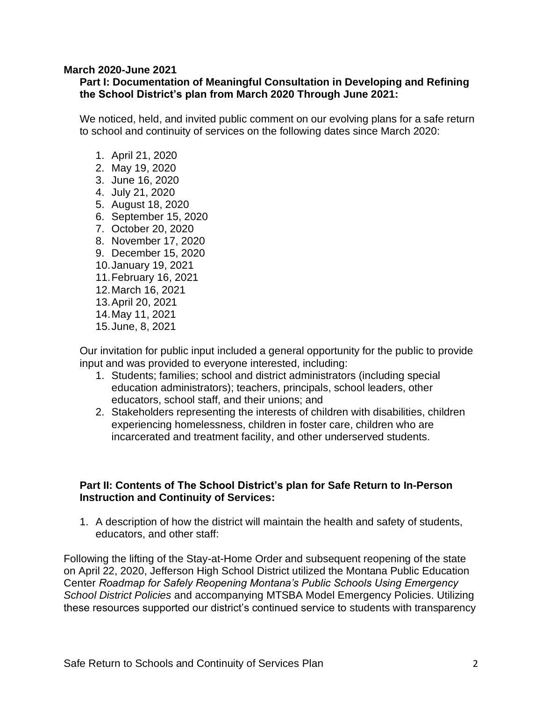#### **March 2020-June 2021**

### **Part I: Documentation of Meaningful Consultation in Developing and Refining the School District's plan from March 2020 Through June 2021:**

We noticed, held, and invited public comment on our evolving plans for a safe return to school and continuity of services on the following dates since March 2020:

- 1. April 21, 2020
- 2. May 19, 2020
- 3. June 16, 2020
- 4. July 21, 2020
- 5. August 18, 2020
- 6. September 15, 2020
- 7. October 20, 2020
- 8. November 17, 2020
- 9. December 15, 2020
- 10.January 19, 2021
- 11.February 16, 2021
- 12.March 16, 2021
- 13.April 20, 2021
- 14.May 11, 2021
- 15.June, 8, 2021

Our invitation for public input included a general opportunity for the public to provide input and was provided to everyone interested, including:

- 1. Students; families; school and district administrators (including special education administrators); teachers, principals, school leaders, other educators, school staff, and their unions; and
- 2. Stakeholders representing the interests of children with disabilities, children experiencing homelessness, children in foster care, children who are incarcerated and treatment facility, and other underserved students.

#### **Part II: Contents of The School District's plan for Safe Return to In-Person Instruction and Continuity of Services:**

1. A description of how the district will maintain the health and safety of students, educators, and other staff:

Following the lifting of the Stay-at-Home Order and subsequent reopening of the state on April 22, 2020, Jefferson High School District utilized the Montana Public Education Center *Roadmap for Safely Reopening Montana's Public Schools Using Emergency School District Policies* and accompanying MTSBA Model Emergency Policies. Utilizing these resources supported our district's continued service to students with transparency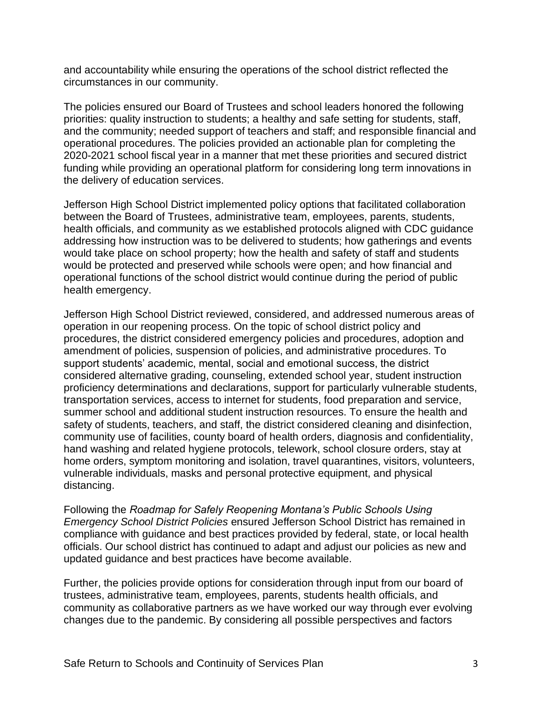and accountability while ensuring the operations of the school district reflected the circumstances in our community.

The policies ensured our Board of Trustees and school leaders honored the following priorities: quality instruction to students; a healthy and safe setting for students, staff, and the community; needed support of teachers and staff; and responsible financial and operational procedures. The policies provided an actionable plan for completing the 2020-2021 school fiscal year in a manner that met these priorities and secured district funding while providing an operational platform for considering long term innovations in the delivery of education services.

Jefferson High School District implemented policy options that facilitated collaboration between the Board of Trustees, administrative team, employees, parents, students, health officials, and community as we established protocols aligned with CDC guidance addressing how instruction was to be delivered to students; how gatherings and events would take place on school property; how the health and safety of staff and students would be protected and preserved while schools were open; and how financial and operational functions of the school district would continue during the period of public health emergency.

Jefferson High School District reviewed, considered, and addressed numerous areas of operation in our reopening process. On the topic of school district policy and procedures, the district considered emergency policies and procedures, adoption and amendment of policies, suspension of policies, and administrative procedures. To support students' academic, mental, social and emotional success, the district considered alternative grading, counseling, extended school year, student instruction proficiency determinations and declarations, support for particularly vulnerable students, transportation services, access to internet for students, food preparation and service, summer school and additional student instruction resources. To ensure the health and safety of students, teachers, and staff, the district considered cleaning and disinfection, community use of facilities, county board of health orders, diagnosis and confidentiality, hand washing and related hygiene protocols, telework, school closure orders, stay at home orders, symptom monitoring and isolation, travel quarantines, visitors, volunteers, vulnerable individuals, masks and personal protective equipment, and physical distancing.

Following the *Roadmap for Safely Reopening Montana's Public Schools Using Emergency School District Policies* ensured Jefferson School District has remained in compliance with guidance and best practices provided by federal, state, or local health officials. Our school district has continued to adapt and adjust our policies as new and updated guidance and best practices have become available.

Further, the policies provide options for consideration through input from our board of trustees, administrative team, employees, parents, students health officials, and community as collaborative partners as we have worked our way through ever evolving changes due to the pandemic. By considering all possible perspectives and factors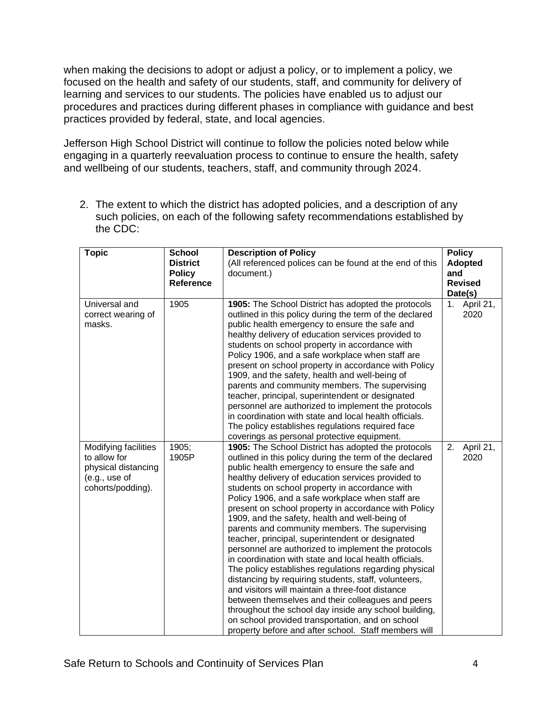when making the decisions to adopt or adjust a policy, or to implement a policy, we focused on the health and safety of our students, staff, and community for delivery of learning and services to our students. The policies have enabled us to adjust our procedures and practices during different phases in compliance with guidance and best practices provided by federal, state, and local agencies.

Jefferson High School District will continue to follow the policies noted below while engaging in a quarterly reevaluation process to continue to ensure the health, safety and wellbeing of our students, teachers, staff, and community through 2024.

2. The extent to which the district has adopted policies, and a description of any such policies, on each of the following safety recommendations established by the CDC:

| <b>Topic</b>                                                                                      | <b>School</b><br><b>District</b><br><b>Policy</b><br>Reference | <b>Description of Policy</b><br>(All referenced polices can be found at the end of this<br>document.)                                                                                                                                                                                                                                                                                                                                                                                                                                                                                                                                                                                                                                                                                                                                                                                                                                                                                                                                                        | <b>Policy</b><br><b>Adopted</b><br>and<br><b>Revised</b><br>Date(s) |
|---------------------------------------------------------------------------------------------------|----------------------------------------------------------------|--------------------------------------------------------------------------------------------------------------------------------------------------------------------------------------------------------------------------------------------------------------------------------------------------------------------------------------------------------------------------------------------------------------------------------------------------------------------------------------------------------------------------------------------------------------------------------------------------------------------------------------------------------------------------------------------------------------------------------------------------------------------------------------------------------------------------------------------------------------------------------------------------------------------------------------------------------------------------------------------------------------------------------------------------------------|---------------------------------------------------------------------|
| Universal and<br>correct wearing of<br>masks.                                                     | 1905                                                           | 1905: The School District has adopted the protocols<br>outlined in this policy during the term of the declared<br>public health emergency to ensure the safe and<br>healthy delivery of education services provided to<br>students on school property in accordance with<br>Policy 1906, and a safe workplace when staff are<br>present on school property in accordance with Policy<br>1909, and the safety, health and well-being of<br>parents and community members. The supervising<br>teacher, principal, superintendent or designated<br>personnel are authorized to implement the protocols<br>in coordination with state and local health officials.<br>The policy establishes regulations required face<br>coverings as personal protective equipment.                                                                                                                                                                                                                                                                                             | April 21,<br>1.<br>2020                                             |
| Modifying facilities<br>to allow for<br>physical distancing<br>(e.g., use of<br>cohorts/podding). | 1905;<br>1905P                                                 | 1905: The School District has adopted the protocols<br>outlined in this policy during the term of the declared<br>public health emergency to ensure the safe and<br>healthy delivery of education services provided to<br>students on school property in accordance with<br>Policy 1906, and a safe workplace when staff are<br>present on school property in accordance with Policy<br>1909, and the safety, health and well-being of<br>parents and community members. The supervising<br>teacher, principal, superintendent or designated<br>personnel are authorized to implement the protocols<br>in coordination with state and local health officials.<br>The policy establishes regulations regarding physical<br>distancing by requiring students, staff, volunteers,<br>and visitors will maintain a three-foot distance<br>between themselves and their colleagues and peers<br>throughout the school day inside any school building,<br>on school provided transportation, and on school<br>property before and after school. Staff members will | April 21,<br>2.<br>2020                                             |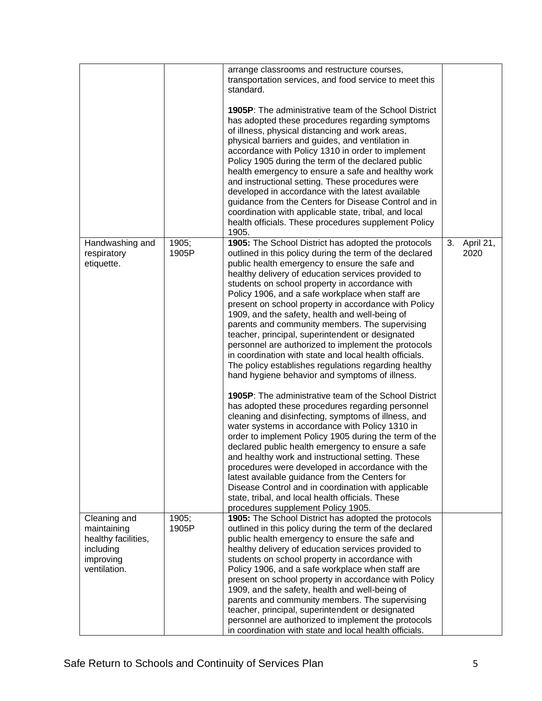|                                                                                              |                | arrange classrooms and restructure courses,<br>transportation services, and food service to meet this<br>standard.<br><b>1905P:</b> The administrative team of the School District<br>has adopted these procedures regarding symptoms<br>of illness, physical distancing and work areas,<br>physical barriers and guides, and ventilation in<br>accordance with Policy 1310 in order to implement<br>Policy 1905 during the term of the declared public<br>health emergency to ensure a safe and healthy work<br>and instructional setting. These procedures were<br>developed in accordance with the latest available<br>guidance from the Centers for Disease Control and in<br>coordination with applicable state, tribal, and local<br>health officials. These procedures supplement Policy<br>1905.                                                                                                                                                                                                                                                                                                                                                                                                                                                                                                                                                                                                                        |    |                   |
|----------------------------------------------------------------------------------------------|----------------|---------------------------------------------------------------------------------------------------------------------------------------------------------------------------------------------------------------------------------------------------------------------------------------------------------------------------------------------------------------------------------------------------------------------------------------------------------------------------------------------------------------------------------------------------------------------------------------------------------------------------------------------------------------------------------------------------------------------------------------------------------------------------------------------------------------------------------------------------------------------------------------------------------------------------------------------------------------------------------------------------------------------------------------------------------------------------------------------------------------------------------------------------------------------------------------------------------------------------------------------------------------------------------------------------------------------------------------------------------------------------------------------------------------------------------|----|-------------------|
| Handwashing and<br>respiratory<br>etiquette.                                                 | 1905;<br>1905P | 1905: The School District has adopted the protocols<br>outlined in this policy during the term of the declared<br>public health emergency to ensure the safe and<br>healthy delivery of education services provided to<br>students on school property in accordance with<br>Policy 1906, and a safe workplace when staff are<br>present on school property in accordance with Policy<br>1909, and the safety, health and well-being of<br>parents and community members. The supervising<br>teacher, principal, superintendent or designated<br>personnel are authorized to implement the protocols<br>in coordination with state and local health officials.<br>The policy establishes regulations regarding healthy<br>hand hygiene behavior and symptoms of illness.<br><b>1905P:</b> The administrative team of the School District<br>has adopted these procedures regarding personnel<br>cleaning and disinfecting, symptoms of illness, and<br>water systems in accordance with Policy 1310 in<br>order to implement Policy 1905 during the term of the<br>declared public health emergency to ensure a safe<br>and healthy work and instructional setting. These<br>procedures were developed in accordance with the<br>latest available guidance from the Centers for<br>Disease Control and in coordination with applicable<br>state, tribal, and local health officials. These<br>procedures supplement Policy 1905. | 3. | April 21,<br>2020 |
| Cleaning and<br>maintaining<br>healthy facilities,<br>including<br>improving<br>ventilation. | 1905;<br>1905P | 1905: The School District has adopted the protocols<br>outlined in this policy during the term of the declared<br>public health emergency to ensure the safe and<br>healthy delivery of education services provided to<br>students on school property in accordance with<br>Policy 1906, and a safe workplace when staff are<br>present on school property in accordance with Policy<br>1909, and the safety, health and well-being of<br>parents and community members. The supervising<br>teacher, principal, superintendent or designated<br>personnel are authorized to implement the protocols                                                                                                                                                                                                                                                                                                                                                                                                                                                                                                                                                                                                                                                                                                                                                                                                                             |    |                   |
|                                                                                              |                | in coordination with state and local health officials.                                                                                                                                                                                                                                                                                                                                                                                                                                                                                                                                                                                                                                                                                                                                                                                                                                                                                                                                                                                                                                                                                                                                                                                                                                                                                                                                                                          |    |                   |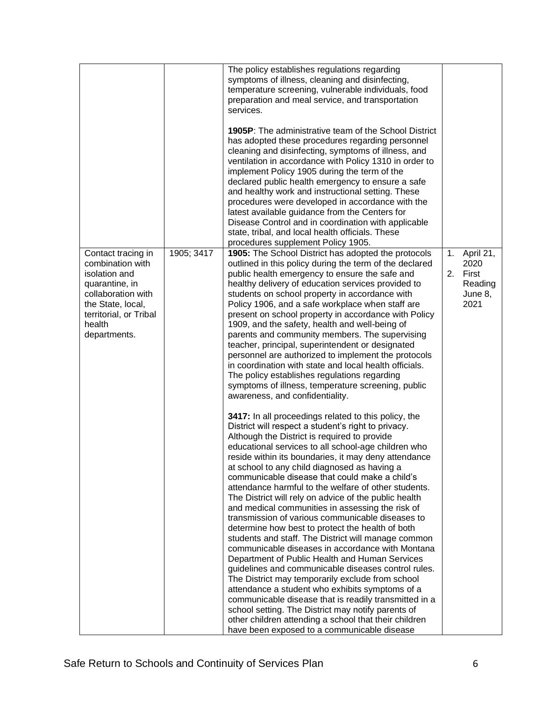|                                                                                                                                                                          |            | The policy establishes regulations regarding<br>symptoms of illness, cleaning and disinfecting,<br>temperature screening, vulnerable individuals, food<br>preparation and meal service, and transportation<br>services.<br><b>1905P:</b> The administrative team of the School District<br>has adopted these procedures regarding personnel<br>cleaning and disinfecting, symptoms of illness, and<br>ventilation in accordance with Policy 1310 in order to<br>implement Policy 1905 during the term of the<br>declared public health emergency to ensure a safe<br>and healthy work and instructional setting. These<br>procedures were developed in accordance with the<br>latest available guidance from the Centers for<br>Disease Control and in coordination with applicable<br>state, tribal, and local health officials. These<br>procedures supplement Policy 1905.                                                                                                                                                                                                                                                                                                                                                                                                                                                                                                                                                                                                                                                                                                                                                                                                                                                                                                                                                                                                                                                                                                                                         |          |                                                          |
|--------------------------------------------------------------------------------------------------------------------------------------------------------------------------|------------|-----------------------------------------------------------------------------------------------------------------------------------------------------------------------------------------------------------------------------------------------------------------------------------------------------------------------------------------------------------------------------------------------------------------------------------------------------------------------------------------------------------------------------------------------------------------------------------------------------------------------------------------------------------------------------------------------------------------------------------------------------------------------------------------------------------------------------------------------------------------------------------------------------------------------------------------------------------------------------------------------------------------------------------------------------------------------------------------------------------------------------------------------------------------------------------------------------------------------------------------------------------------------------------------------------------------------------------------------------------------------------------------------------------------------------------------------------------------------------------------------------------------------------------------------------------------------------------------------------------------------------------------------------------------------------------------------------------------------------------------------------------------------------------------------------------------------------------------------------------------------------------------------------------------------------------------------------------------------------------------------------------------------|----------|----------------------------------------------------------|
| Contact tracing in<br>combination with<br>isolation and<br>quarantine, in<br>collaboration with<br>the State, local,<br>territorial, or Tribal<br>health<br>departments. | 1905; 3417 | 1905: The School District has adopted the protocols<br>outlined in this policy during the term of the declared<br>public health emergency to ensure the safe and<br>healthy delivery of education services provided to<br>students on school property in accordance with<br>Policy 1906, and a safe workplace when staff are<br>present on school property in accordance with Policy<br>1909, and the safety, health and well-being of<br>parents and community members. The supervising<br>teacher, principal, superintendent or designated<br>personnel are authorized to implement the protocols<br>in coordination with state and local health officials.<br>The policy establishes regulations regarding<br>symptoms of illness, temperature screening, public<br>awareness, and confidentiality.<br>3417: In all proceedings related to this policy, the<br>District will respect a student's right to privacy.<br>Although the District is required to provide<br>educational services to all school-age children who<br>reside within its boundaries, it may deny attendance<br>at school to any child diagnosed as having a<br>communicable disease that could make a child's<br>attendance harmful to the welfare of other students.<br>The District will rely on advice of the public health<br>and medical communities in assessing the risk of<br>transmission of various communicable diseases to<br>determine how best to protect the health of both<br>students and staff. The District will manage common<br>communicable diseases in accordance with Montana<br>Department of Public Health and Human Services<br>guidelines and communicable diseases control rules.<br>The District may temporarily exclude from school<br>attendance a student who exhibits symptoms of a<br>communicable disease that is readily transmitted in a<br>school setting. The District may notify parents of<br>other children attending a school that their children<br>have been exposed to a communicable disease | 1.<br>2. | April 21,<br>2020<br>First<br>Reading<br>June 8,<br>2021 |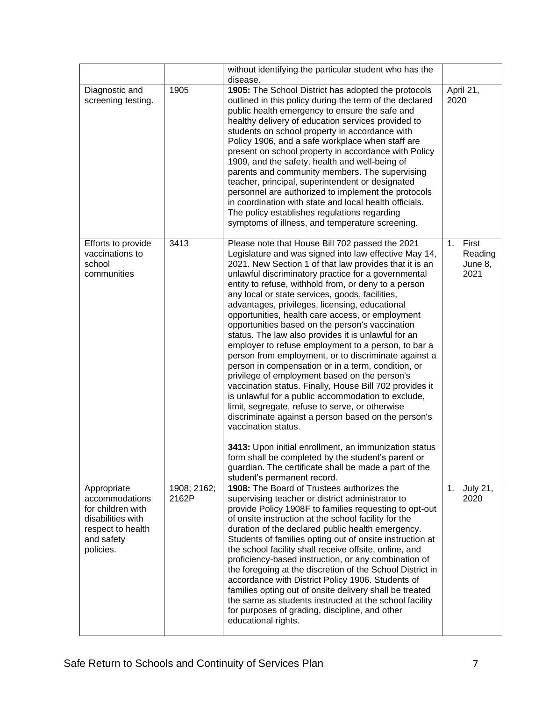|                                                                                                                         |                      | without identifying the particular student who has the<br>disease.                                                                                                                                                                                                                                                                                                                                                                                                                                                                                                                                                                                                                                                                                                                                                                                                                                                                                                                                                                                                                                                                                                                                                                  |                                           |
|-------------------------------------------------------------------------------------------------------------------------|----------------------|-------------------------------------------------------------------------------------------------------------------------------------------------------------------------------------------------------------------------------------------------------------------------------------------------------------------------------------------------------------------------------------------------------------------------------------------------------------------------------------------------------------------------------------------------------------------------------------------------------------------------------------------------------------------------------------------------------------------------------------------------------------------------------------------------------------------------------------------------------------------------------------------------------------------------------------------------------------------------------------------------------------------------------------------------------------------------------------------------------------------------------------------------------------------------------------------------------------------------------------|-------------------------------------------|
| Diagnostic and<br>screening testing.                                                                                    | 1905                 | 1905: The School District has adopted the protocols<br>outlined in this policy during the term of the declared<br>public health emergency to ensure the safe and<br>healthy delivery of education services provided to<br>students on school property in accordance with<br>Policy 1906, and a safe workplace when staff are<br>present on school property in accordance with Policy<br>1909, and the safety, health and well-being of<br>parents and community members. The supervising<br>teacher, principal, superintendent or designated<br>personnel are authorized to implement the protocols<br>in coordination with state and local health officials.<br>The policy establishes regulations regarding<br>symptoms of illness, and temperature screening.                                                                                                                                                                                                                                                                                                                                                                                                                                                                    | April 21,<br>2020                         |
| Efforts to provide<br>vaccinations to<br>school<br>communities                                                          | 3413                 | Please note that House Bill 702 passed the 2021<br>Legislature and was signed into law effective May 14,<br>2021. New Section 1 of that law provides that it is an<br>unlawful discriminatory practice for a governmental<br>entity to refuse, withhold from, or deny to a person<br>any local or state services, goods, facilities,<br>advantages, privileges, licensing, educational<br>opportunities, health care access, or employment<br>opportunities based on the person's vaccination<br>status. The law also provides it is unlawful for an<br>employer to refuse employment to a person, to bar a<br>person from employment, or to discriminate against a<br>person in compensation or in a term, condition, or<br>privilege of employment based on the person's<br>vaccination status. Finally, House Bill 702 provides it<br>is unlawful for a public accommodation to exclude,<br>limit, segregate, refuse to serve, or otherwise<br>discriminate against a person based on the person's<br>vaccination status.<br>3413: Upon initial enrollment, an immunization status<br>form shall be completed by the student's parent or<br>guardian. The certificate shall be made a part of the<br>student's permanent record. | 1.<br>First<br>Reading<br>June 8,<br>2021 |
| Appropriate<br>accommodations<br>for children with<br>disabilities with<br>respect to health<br>and safety<br>policies. | 1908; 2162;<br>2162P | 1908: The Board of Trustees authorizes the<br>supervising teacher or district administrator to<br>provide Policy 1908F to families requesting to opt-out<br>of onsite instruction at the school facility for the<br>duration of the declared public health emergency.<br>Students of families opting out of onsite instruction at<br>the school facility shall receive offsite, online, and<br>proficiency-based instruction, or any combination of<br>the foregoing at the discretion of the School District in<br>accordance with District Policy 1906. Students of<br>families opting out of onsite delivery shall be treated<br>the same as students instructed at the school facility<br>for purposes of grading, discipline, and other<br>educational rights.                                                                                                                                                                                                                                                                                                                                                                                                                                                                 | 1.<br><b>July 21,</b><br>2020             |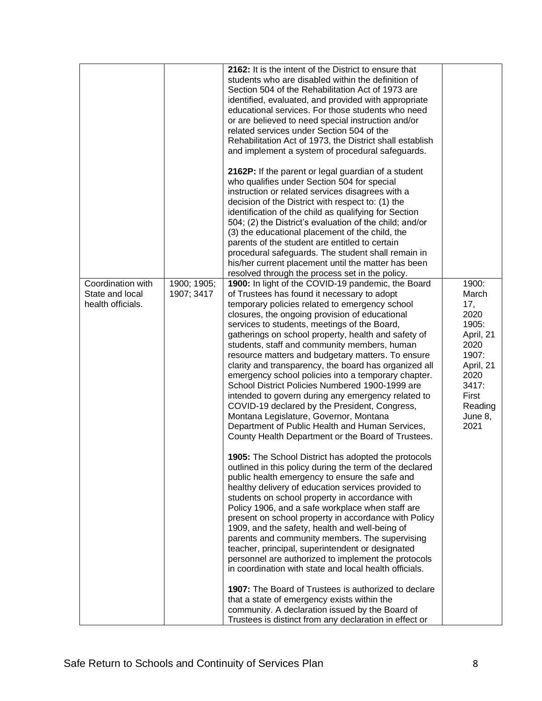|                           | students who are disabled within the definition of<br>Section 504 of the Rehabilitation Act of 1973 are<br>identified, evaluated, and provided with appropriate<br>educational services. For those students who need<br>or are believed to need special instruction and/or<br>related services under Section 504 of the<br>Rehabilitation Act of 1973, the District shall establish<br>and implement a system of procedural safeguards.<br>2162P: If the parent or legal guardian of a student<br>who qualifies under Section 504 for special<br>instruction or related services disagrees with a<br>decision of the District with respect to: (1) the<br>identification of the child as qualifying for Section<br>504; (2) the District's evaluation of the child; and/or<br>(3) the educational placement of the child, the<br>parents of the student are entitled to certain<br>procedural safeguards. The student shall remain in<br>his/her current placement until the matter has been                                                                                                                                                                                                                                                                                                                                                                                                                                                                                                                                                                                                                                                                              |                                                                                                                                           |
|---------------------------|---------------------------------------------------------------------------------------------------------------------------------------------------------------------------------------------------------------------------------------------------------------------------------------------------------------------------------------------------------------------------------------------------------------------------------------------------------------------------------------------------------------------------------------------------------------------------------------------------------------------------------------------------------------------------------------------------------------------------------------------------------------------------------------------------------------------------------------------------------------------------------------------------------------------------------------------------------------------------------------------------------------------------------------------------------------------------------------------------------------------------------------------------------------------------------------------------------------------------------------------------------------------------------------------------------------------------------------------------------------------------------------------------------------------------------------------------------------------------------------------------------------------------------------------------------------------------------------------------------------------------------------------------------------------------|-------------------------------------------------------------------------------------------------------------------------------------------|
| 1900; 1905;<br>1907; 3417 | 1900: In light of the COVID-19 pandemic, the Board<br>of Trustees has found it necessary to adopt<br>temporary policies related to emergency school<br>closures, the ongoing provision of educational<br>services to students, meetings of the Board,<br>gatherings on school property, health and safety of<br>students, staff and community members, human<br>resource matters and budgetary matters. To ensure<br>clarity and transparency, the board has organized all<br>emergency school policies into a temporary chapter.<br>School District Policies Numbered 1900-1999 are<br>intended to govern during any emergency related to<br>COVID-19 declared by the President, Congress,<br>Montana Legislature, Governor, Montana<br>Department of Public Health and Human Services,<br>County Health Department or the Board of Trustees.<br>1905: The School District has adopted the protocols<br>outlined in this policy during the term of the declared<br>public health emergency to ensure the safe and<br>healthy delivery of education services provided to<br>students on school property in accordance with<br>Policy 1906, and a safe workplace when staff are<br>present on school property in accordance with Policy<br>1909, and the safety, health and well-being of<br>parents and community members. The supervising<br>teacher, principal, superintendent or designated<br>personnel are authorized to implement the protocols<br>in coordination with state and local health officials.<br>1907: The Board of Trustees is authorized to declare<br>that a state of emergency exists within the<br>community. A declaration issued by the Board of | 1900:<br>March<br>17,<br>2020<br>1905:<br>April, 21<br>2020<br>1907:<br>April, 21<br>2020<br>3417:<br>First<br>Reading<br>June 8,<br>2021 |
|                           |                                                                                                                                                                                                                                                                                                                                                                                                                                                                                                                                                                                                                                                                                                                                                                                                                                                                                                                                                                                                                                                                                                                                                                                                                                                                                                                                                                                                                                                                                                                                                                                                                                                                           | resolved through the process set in the policy.<br>Trustees is distinct from any declaration in effect or                                 |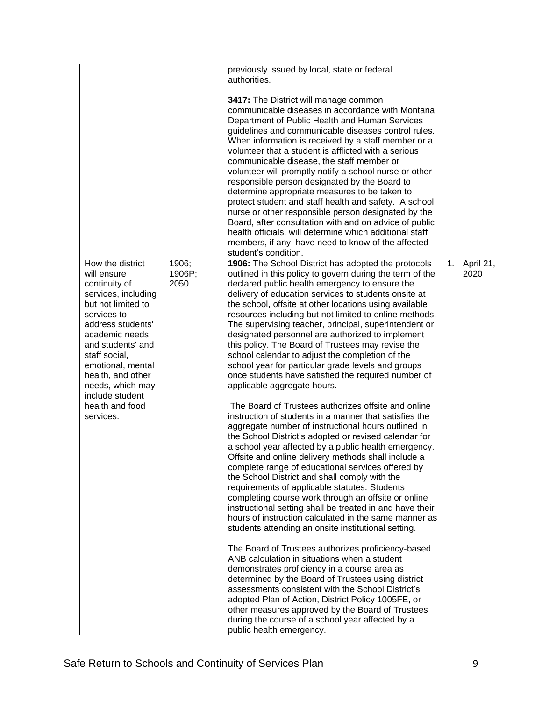|                                                                                                                                                                                                                                                                                                            |                         | previously issued by local, state or federal<br>authorities.                                                                                                                                                                                                                                                                                                                                                                                                                                                                                                                                                                                                                                                                                                                                                                                                                                                                                                                                                                                                                                                                                                                                                                                                                                                                                                                                                                                                                                                                                                                                                                                                                                                                                                                                                                                                                                                        |                         |
|------------------------------------------------------------------------------------------------------------------------------------------------------------------------------------------------------------------------------------------------------------------------------------------------------------|-------------------------|---------------------------------------------------------------------------------------------------------------------------------------------------------------------------------------------------------------------------------------------------------------------------------------------------------------------------------------------------------------------------------------------------------------------------------------------------------------------------------------------------------------------------------------------------------------------------------------------------------------------------------------------------------------------------------------------------------------------------------------------------------------------------------------------------------------------------------------------------------------------------------------------------------------------------------------------------------------------------------------------------------------------------------------------------------------------------------------------------------------------------------------------------------------------------------------------------------------------------------------------------------------------------------------------------------------------------------------------------------------------------------------------------------------------------------------------------------------------------------------------------------------------------------------------------------------------------------------------------------------------------------------------------------------------------------------------------------------------------------------------------------------------------------------------------------------------------------------------------------------------------------------------------------------------|-------------------------|
|                                                                                                                                                                                                                                                                                                            |                         | 3417: The District will manage common<br>communicable diseases in accordance with Montana<br>Department of Public Health and Human Services<br>guidelines and communicable diseases control rules.<br>When information is received by a staff member or a<br>volunteer that a student is afflicted with a serious<br>communicable disease, the staff member or<br>volunteer will promptly notify a school nurse or other<br>responsible person designated by the Board to<br>determine appropriate measures to be taken to<br>protect student and staff health and safety. A school<br>nurse or other responsible person designated by the<br>Board, after consultation with and on advice of public<br>health officials, will determine which additional staff<br>members, if any, have need to know of the affected<br>student's condition.                                                                                                                                                                                                                                                                                                                                                                                                                                                                                                                                                                                                                                                                                                                                                                                                                                                                                                                                                                                                                                                                       |                         |
| How the district<br>will ensure<br>continuity of<br>services, including<br>but not limited to<br>services to<br>address students'<br>academic needs<br>and students' and<br>staff social,<br>emotional, mental<br>health, and other<br>needs, which may<br>include student<br>health and food<br>services. | 1906;<br>1906P;<br>2050 | 1906: The School District has adopted the protocols<br>outlined in this policy to govern during the term of the<br>declared public health emergency to ensure the<br>delivery of education services to students onsite at<br>the school, offsite at other locations using available<br>resources including but not limited to online methods.<br>The supervising teacher, principal, superintendent or<br>designated personnel are authorized to implement<br>this policy. The Board of Trustees may revise the<br>school calendar to adjust the completion of the<br>school year for particular grade levels and groups<br>once students have satisfied the required number of<br>applicable aggregate hours.<br>The Board of Trustees authorizes offsite and online<br>instruction of students in a manner that satisfies the<br>aggregate number of instructional hours outlined in<br>the School District's adopted or revised calendar for<br>a school year affected by a public health emergency.<br>Offsite and online delivery methods shall include a<br>complete range of educational services offered by<br>the School District and shall comply with the<br>requirements of applicable statutes. Students<br>completing course work through an offsite or online<br>instructional setting shall be treated in and have their<br>hours of instruction calculated in the same manner as<br>students attending an onsite institutional setting.<br>The Board of Trustees authorizes proficiency-based<br>ANB calculation in situations when a student<br>demonstrates proficiency in a course area as<br>determined by the Board of Trustees using district<br>assessments consistent with the School District's<br>adopted Plan of Action, District Policy 1005FE, or<br>other measures approved by the Board of Trustees<br>during the course of a school year affected by a<br>public health emergency. | 1.<br>April 21,<br>2020 |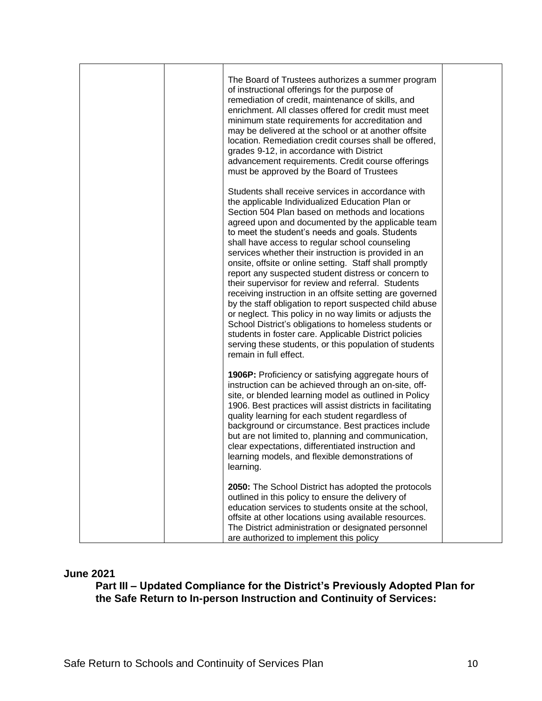|  | The Board of Trustees authorizes a summer program<br>of instructional offerings for the purpose of<br>remediation of credit, maintenance of skills, and<br>enrichment. All classes offered for credit must meet<br>minimum state requirements for accreditation and<br>may be delivered at the school or at another offsite<br>location. Remediation credit courses shall be offered,<br>grades 9-12, in accordance with District<br>advancement requirements. Credit course offerings<br>must be approved by the Board of Trustees                                                                                                                                                                                                                                                                                                                                                                                                        |  |
|--|--------------------------------------------------------------------------------------------------------------------------------------------------------------------------------------------------------------------------------------------------------------------------------------------------------------------------------------------------------------------------------------------------------------------------------------------------------------------------------------------------------------------------------------------------------------------------------------------------------------------------------------------------------------------------------------------------------------------------------------------------------------------------------------------------------------------------------------------------------------------------------------------------------------------------------------------|--|
|  | Students shall receive services in accordance with<br>the applicable Individualized Education Plan or<br>Section 504 Plan based on methods and locations<br>agreed upon and documented by the applicable team<br>to meet the student's needs and goals. Students<br>shall have access to regular school counseling<br>services whether their instruction is provided in an<br>onsite, offsite or online setting. Staff shall promptly<br>report any suspected student distress or concern to<br>their supervisor for review and referral. Students<br>receiving instruction in an offsite setting are governed<br>by the staff obligation to report suspected child abuse<br>or neglect. This policy in no way limits or adjusts the<br>School District's obligations to homeless students or<br>students in foster care. Applicable District policies<br>serving these students, or this population of students<br>remain in full effect. |  |
|  | 1906P: Proficiency or satisfying aggregate hours of<br>instruction can be achieved through an on-site, off-<br>site, or blended learning model as outlined in Policy<br>1906. Best practices will assist districts in facilitating<br>quality learning for each student regardless of<br>background or circumstance. Best practices include<br>but are not limited to, planning and communication,<br>clear expectations, differentiated instruction and<br>learning models, and flexible demonstrations of<br>learning.                                                                                                                                                                                                                                                                                                                                                                                                                   |  |
|  | 2050: The School District has adopted the protocols<br>outlined in this policy to ensure the delivery of<br>education services to students onsite at the school,<br>offsite at other locations using available resources.<br>The District administration or designated personnel<br>are authorized to implement this policy                                                                                                                                                                                                                                                                                                                                                                                                                                                                                                                                                                                                                |  |

#### **June 2021**

**Part III – Updated Compliance for the District's Previously Adopted Plan for the Safe Return to In-person Instruction and Continuity of Services:**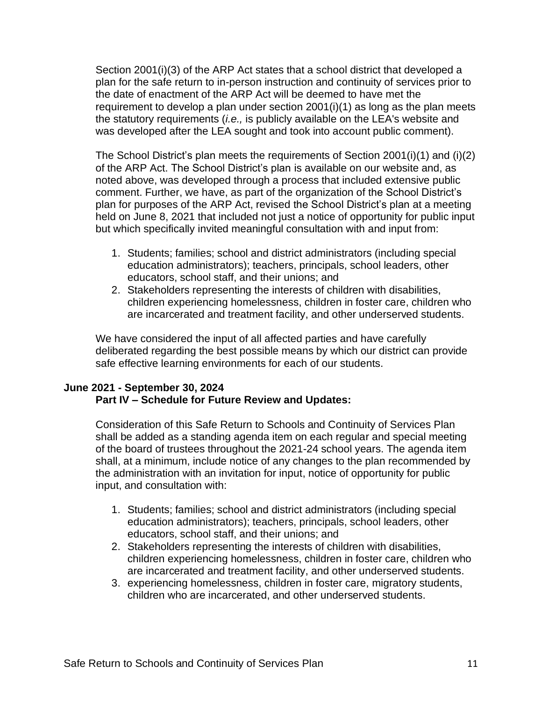Section 2001(i)(3) of the ARP Act states that a school district that developed a plan for the safe return to in-person instruction and continuity of services prior to the date of enactment of the ARP Act will be deemed to have met the requirement to develop a plan under section 2001(i)(1) as long as the plan meets the statutory requirements (*i.e.,* is publicly available on the LEA's website and was developed after the LEA sought and took into account public comment).

The School District's plan meets the requirements of Section 2001(i)(1) and (i)(2) of the ARP Act. The School District's plan is available on our website and, as noted above, was developed through a process that included extensive public comment. Further, we have, as part of the organization of the School District's plan for purposes of the ARP Act, revised the School District's plan at a meeting held on June 8, 2021 that included not just a notice of opportunity for public input but which specifically invited meaningful consultation with and input from:

- 1. Students; families; school and district administrators (including special education administrators); teachers, principals, school leaders, other educators, school staff, and their unions; and
- 2. Stakeholders representing the interests of children with disabilities, children experiencing homelessness, children in foster care, children who are incarcerated and treatment facility, and other underserved students.

We have considered the input of all affected parties and have carefully deliberated regarding the best possible means by which our district can provide safe effective learning environments for each of our students.

## **June 2021 - September 30, 2024 Part IV – Schedule for Future Review and Updates:**

Consideration of this Safe Return to Schools and Continuity of Services Plan shall be added as a standing agenda item on each regular and special meeting of the board of trustees throughout the 2021-24 school years. The agenda item shall, at a minimum, include notice of any changes to the plan recommended by the administration with an invitation for input, notice of opportunity for public input, and consultation with:

- 1. Students; families; school and district administrators (including special education administrators); teachers, principals, school leaders, other educators, school staff, and their unions; and
- 2. Stakeholders representing the interests of children with disabilities, children experiencing homelessness, children in foster care, children who are incarcerated and treatment facility, and other underserved students.
- 3. experiencing homelessness, children in foster care, migratory students, children who are incarcerated, and other underserved students.